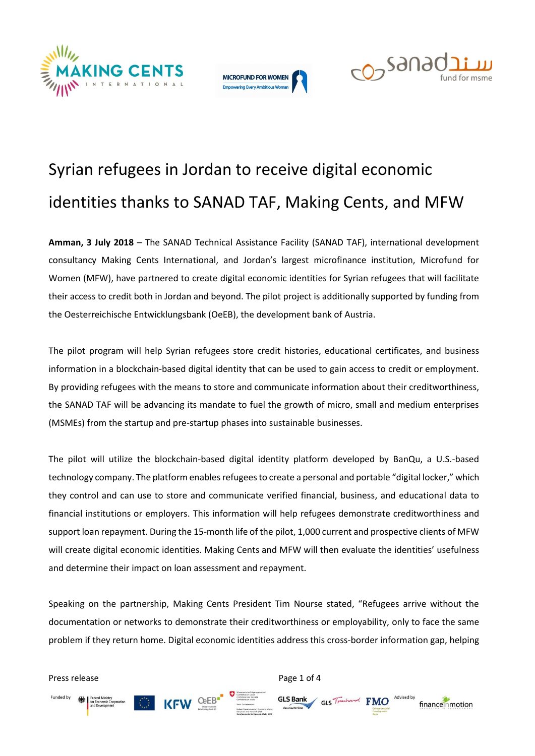





# Syrian refugees in Jordan to receive digital economic identities thanks to SANAD TAF, Making Cents, and MFW

**Amman, 3 July 2018** – The SANAD Technical Assistance Facility (SANAD TAF), international development consultancy Making Cents International, and Jordan's largest microfinance institution, Microfund for Women (MFW), have partnered to create digital economic identities for Syrian refugees that will facilitate their access to credit both in Jordan and beyond. The pilot project is additionally supported by funding from the Oesterreichische Entwicklungsbank (OeEB), the development bank of Austria.

The pilot program will help Syrian refugees store credit histories, educational certificates, and business information in a blockchain-based digital identity that can be used to gain access to credit or employment. By providing refugees with the means to store and communicate information about their creditworthiness, the SANAD TAF will be advancing its mandate to fuel the growth of micro, small and medium enterprises (MSMEs) from the startup and pre-startup phases into sustainable businesses.

The pilot will utilize the blockchain-based digital identity platform developed by BanQu, a U.S.-based technology company. The platform enables refugees to create a personal and portable "digital locker," which they control and can use to store and communicate verified financial, business, and educational data to financial institutions or employers. This information will help refugees demonstrate creditworthiness and support loan repayment. During the 15-month life of the pilot, 1,000 current and prospective clients of MFW will create digital economic identities. Making Cents and MFW will then evaluate the identities' usefulness and determine their impact on loan assessment and repayment.

Speaking on the partnership, Making Cents President Tim Nourse stated, "Refugees arrive without the documentation or networks to demonstrate their creditworthiness or employability, only to face the same problem if they return home. Digital economic identities address this cross-border information gap, helping

GLS Bank GLS Trenha

**FMO** 

financemmotion

Press release **Press release** Page 1 of 4

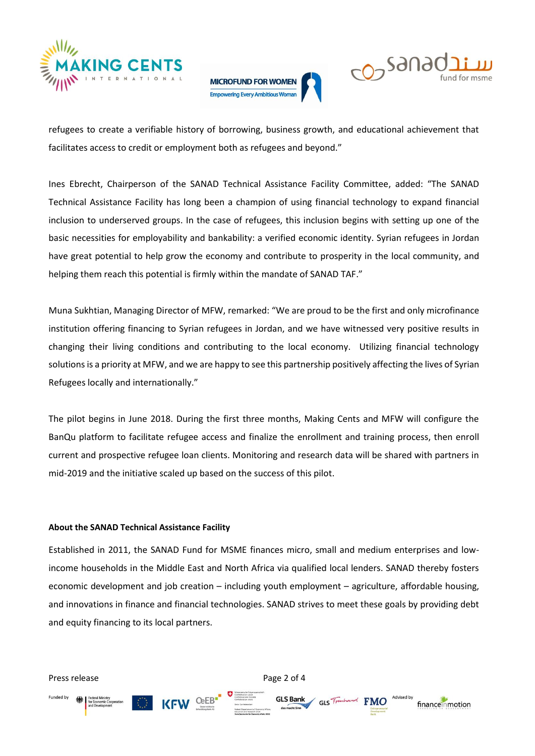





refugees to create a verifiable history of borrowing, business growth, and educational achievement that facilitates access to credit or employment both as refugees and beyond."

Ines Ebrecht, Chairperson of the SANAD Technical Assistance Facility Committee, added: "The SANAD Technical Assistance Facility has long been a champion of using financial technology to expand financial inclusion to underserved groups. In the case of refugees, this inclusion begins with setting up one of the basic necessities for employability and bankability: a verified economic identity. Syrian refugees in Jordan have great potential to help grow the economy and contribute to prosperity in the local community, and helping them reach this potential is firmly within the mandate of SANAD TAF."

Muna Sukhtian, Managing Director of MFW, remarked: "We are proud to be the first and only microfinance institution offering financing to Syrian refugees in Jordan, and we have witnessed very positive results in changing their living conditions and contributing to the local economy. Utilizing financial technology solutions is a priority at MFW, and we are happy to see this partnership positively affecting the lives of Syrian Refugees locally and internationally."

The pilot begins in June 2018. During the first three months, Making Cents and MFW will configure the BanQu platform to facilitate refugee access and finalize the enrollment and training process, then enroll current and prospective refugee loan clients. Monitoring and research data will be shared with partners in mid-2019 and the initiative scaled up based on the success of this pilot.

#### **About the SANAD Technical Assistance Facility**

Established in 2011, the SANAD Fund for MSME finances micro, small and medium enterprises and lowincome households in the Middle East and North Africa via qualified local lenders. SANAD thereby fosters economic development and job creation – including youth employment – agriculture, affordable housing, and innovations in finance and financial technologies. SANAD strives to meet these goals by providing debt and equity financing to its local partners.

Press release **Press release** Page 2 of 4

Funded by

**GLS Bank** 

GLS Tranh

**FMO** 

financemmotion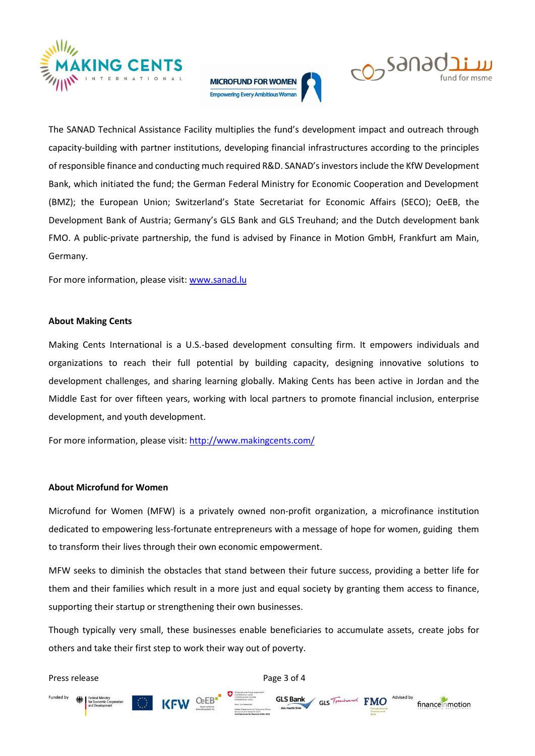





The SANAD Technical Assistance Facility multiplies the fund's development impact and outreach through capacity-building with partner institutions, developing financial infrastructures according to the principles of responsible finance and conducting much required R&D. SANAD's investors include the KfW Development Bank, which initiated the fund; the German Federal Ministry for Economic Cooperation and Development (BMZ); the European Union; Switzerland's State Secretariat for Economic Affairs (SECO); OeEB, the Development Bank of Austria; Germany's GLS Bank and GLS Treuhand; and the Dutch development bank FMO. A public-private partnership, the fund is advised by Finance in Motion GmbH, Frankfurt am Main, Germany.

For more information, please visit: [www.sanad.lu](file:///C:/Users/k.morton/AppData/Local/Microsoft/Windows/INetCache/Content.Outlook/4ZV8KOC8/www.sanad.lu)

#### **About Making Cents**

Making Cents International is a U.S.-based development consulting firm. It empowers individuals and organizations to reach their full potential by building capacity, designing innovative solutions to development challenges, and sharing learning globally. Making Cents has been active in Jordan and the Middle East for over fifteen years, working with local partners to promote financial inclusion, enterprise development, and youth development.

For more information, please visit:<http://www.makingcents.com/>

#### **About Microfund for Women**

Microfund for Women (MFW) is a privately owned non-profit organization, a microfinance institution dedicated to empowering less-fortunate entrepreneurs with a message of hope for women, guiding them to transform their lives through their own economic empowerment.

MFW seeks to diminish the obstacles that stand between their future success, providing a better life for them and their families which result in a more just and equal society by granting them access to finance, supporting their startup or strengthening their own businesses.

Though typically very small, these businesses enable beneficiaries to accumulate assets, create jobs for others and take their first step to work their way out of poverty.

Press release **Press release** Page 3 of 4 Federa<br>For Eco<br>and Do GLS Bank Funded by GLS Tranhand FMO financemmotion